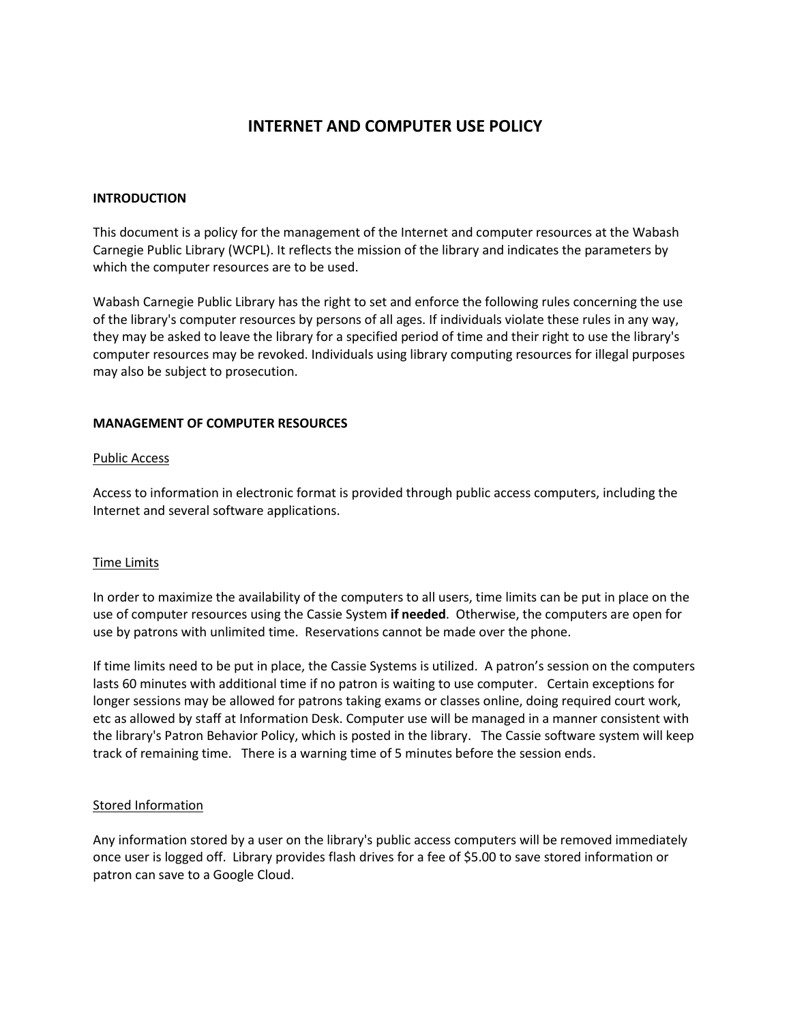# **INTERNET AND COMPUTER USE POLICY**

#### **INTRODUCTION**

This document is a policy for the management of the Internet and computer resources at the Wabash Carnegie Public Library (WCPL). It reflects the mission of the library and indicates the parameters by which the computer resources are to be used.

Wabash Carnegie Public Library has the right to set and enforce the following rules concerning the use of the library's computer resources by persons of all ages. If individuals violate these rules in any way, they may be asked to leave the library for a specified period of time and their right to use the library's computer resources may be revoked. Individuals using library computing resources for illegal purposes may also be subject to prosecution.

### **MANAGEMENT OF COMPUTER RESOURCES**

### Public Access

Access to information in electronic format is provided through public access computers, including the Internet and several software applications.

## Time Limits

In order to maximize the availability of the computers to all users, time limits can be put in place on the use of computer resources using the Cassie System **if needed**. Otherwise, the computers are open for use by patrons with unlimited time. Reservations cannot be made over the phone.

If time limits need to be put in place, the Cassie Systems is utilized. A patron's session on the computers lasts 60 minutes with additional time if no patron is waiting to use computer. Certain exceptions for longer sessions may be allowed for patrons taking exams or classes online, doing required court work, etc as allowed by staff at Information Desk. Computer use will be managed in a manner consistent with the library's Patron Behavior Policy, which is posted in the library. The Cassie software system will keep track of remaining time. There is a warning time of 5 minutes before the session ends.

#### Stored Information

Any information stored by a user on the library's public access computers will be removed immediately once user is logged off. Library provides flash drives for a fee of \$5.00 to save stored information or patron can save to a Google Cloud.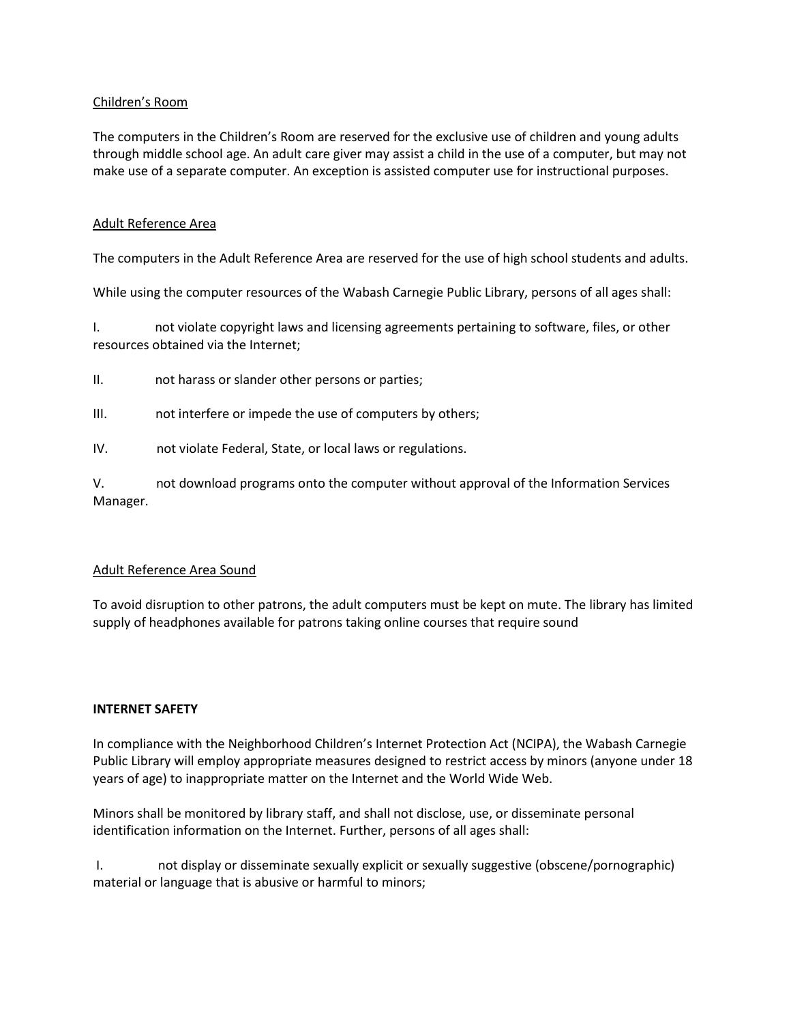## Children's Room

The computers in the Children's Room are reserved for the exclusive use of children and young adults through middle school age. An adult care giver may assist a child in the use of a computer, but may not make use of a separate computer. An exception is assisted computer use for instructional purposes.

### Adult Reference Area

The computers in the Adult Reference Area are reserved for the use of high school students and adults.

While using the computer resources of the Wabash Carnegie Public Library, persons of all ages shall:

I. not violate copyright laws and licensing agreements pertaining to software, files, or other resources obtained via the Internet;

- II. not harass or slander other persons or parties;
- III. not interfere or impede the use of computers by others;
- IV. not violate Federal, State, or local laws or regulations.

V. not download programs onto the computer without approval of the Information Services Manager.

#### Adult Reference Area Sound

To avoid disruption to other patrons, the adult computers must be kept on mute. The library has limited supply of headphones available for patrons taking online courses that require sound

#### **INTERNET SAFETY**

In compliance with the Neighborhood Children's Internet Protection Act (NCIPA), the Wabash Carnegie Public Library will employ appropriate measures designed to restrict access by minors (anyone under 18 years of age) to inappropriate matter on the Internet and the World Wide Web.

Minors shall be monitored by library staff, and shall not disclose, use, or disseminate personal identification information on the Internet. Further, persons of all ages shall:

I. not display or disseminate sexually explicit or sexually suggestive (obscene/pornographic) material or language that is abusive or harmful to minors;